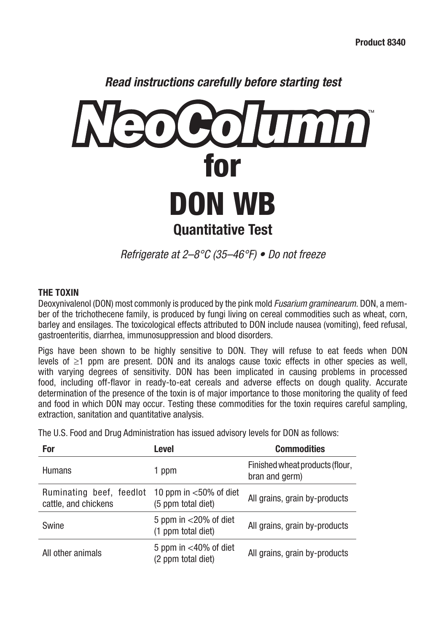

*Refrigerate at 2–8°C (35–46°F) • Do not freeze*

### **THE TOXIN**

Deoxynivalenol (DON) most commonly is produced by the pink mold *Fusarium graminearum*. DON, a member of the trichothecene family, is produced by fungi living on cereal commodities such as wheat, corn, barley and ensilages. The toxicological effects attributed to DON include nausea (vomiting), feed refusal, gastroenteritis, diarrhea, immunosuppression and blood disorders.

Pigs have been shown to be highly sensitive to DON. They will refuse to eat feeds when DON levels of ≥1 ppm are present. DON and its analogs cause toxic effects in other species as well, with varying degrees of sensitivity. DON has been implicated in causing problems in processed food, including off-flavor in ready-to-eat cereals and adverse effects on dough quality. Accurate determination of the presence of the toxin is of major importance to those monitoring the quality of feed and food in which DON may occur. Testing these commodities for the toxin requires careful sampling, extraction, sanitation and quantitative analysis.

The U.S. Food and Drug Administration has issued advisory levels for DON as follows:

| For                                              | Level                                           | <b>Commodities</b>                                |
|--------------------------------------------------|-------------------------------------------------|---------------------------------------------------|
| <b>Humans</b>                                    | 1 ppm                                           | Finished wheat products (flour,<br>bran and germ) |
| Ruminating beef, feedlot<br>cattle, and chickens | 10 ppm in $<$ 50% of diet<br>(5 ppm total diet) | All grains, grain by-products                     |
| Swine                                            | 5 ppm in $<$ 20% of diet<br>(1 ppm total diet)  | All grains, grain by-products                     |
| All other animals                                | 5 ppm in $<$ 40% of diet<br>(2 ppm total diet)  | All grains, grain by-products                     |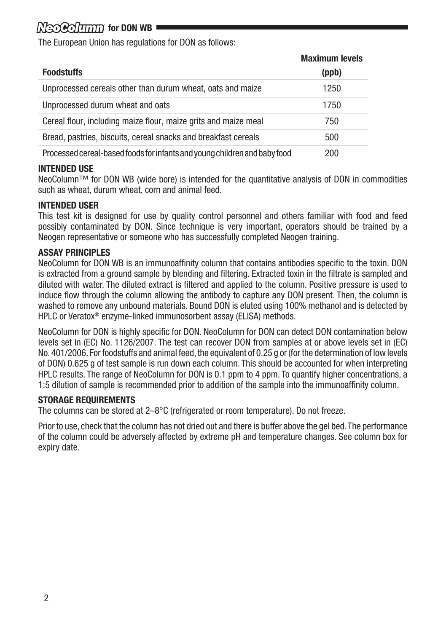# *for DON WB*

The European Union has regulations for DON as follows:

|                                                                           | <b>Maximum levels</b> |
|---------------------------------------------------------------------------|-----------------------|
| <b>Foodstuffs</b>                                                         | (ppb)                 |
| Unprocessed cereals other than durum wheat, oats and maize                | 1250                  |
| Unprocessed durum wheat and oats                                          | 1750                  |
| Cereal flour, including maize flour, maize grits and maize meal           | 750                   |
| Bread, pastries, biscuits, cereal snacks and breakfast cereals            | 500                   |
| Processed cereal-based foods for infants and young children and baby food | 200                   |

#### **INTENDED USE**

NeoColumn™ for DON WB (wide bore) is intended for the quantitative analysis of DON in commodities such as wheat, durum wheat, corn and animal feed.

#### **INTENDED USER**

This test kit is designed for use by quality control personnel and others familiar with food and feed possibly contaminated by DON. Since technique is very important, operators should be trained by a Neogen representative or someone who has successfully completed Neogen training.

#### **ASSAY PRINCIPLES**

NeoColumn for DON WB is an immunoaffinity column that contains antibodies specific to the toxin. DON is extracted from a ground sample by blending and filtering. Extracted toxin in the filtrate is sampled and diluted with water. The diluted extract is filtered and applied to the column. Positive pressure is used to induce flow through the column allowing the antibody to capture any DON present. Then, the column is washed to remove any unbound materials. Bound DON is eluted using 100% methanol and is detected by HPLC or Veratox® enzyme-linked immunosorbent assay (ELISA) methods.

NeoColumn for DON is highly specific for DON. NeoColumn for DON can detect DON contamination below levels set in (EC) No. 1126/2007. The test can recover DON from samples at or above levels set in (EC) No. 401/2006. For foodstuffs and animal feed, the equivalent of 0.25 g or (for the determination of low levels of DON) 0.625 g of test sample is run down each column. This should be accounted for when interpreting HPLC results. The range of NeoColumn for DON is 0.1 ppm to 4 ppm. To quantify higher concentrations, a 1:5 dilution of sample is recommended prior to addition of the sample into the immunoaffinity column.

#### **STORAGE REQUIREMENTS**

The columns can be stored at 2–8°C (refrigerated or room temperature). Do not freeze.

Prior to use, check that the column has not dried out and there is buffer above the gel bed. The performance of the column could be adversely affected by extreme pH and temperature changes. See column box for expiry date.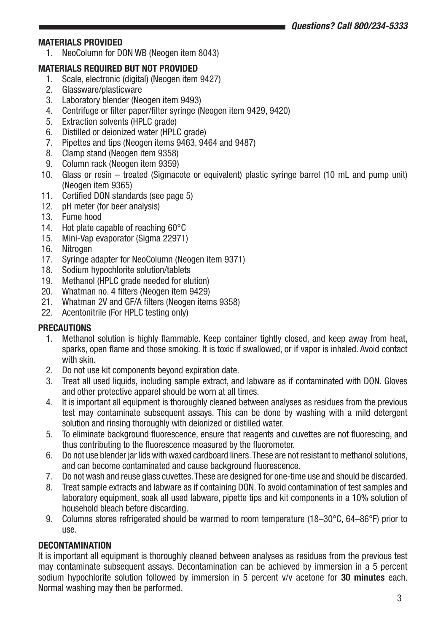# **MATERIALS PROVIDED**

1. NeoColumn for DON WB (Neogen item 8043)

# **MATERIALS REQUIRED BUT NOT PROVIDED**<br>1. Scale, electronic (digital) (Neogen item

- 1. Scale, electronic (digital) (Neogen item 9427)<br>2. Glassware/plasticware
- Glassware/plasticware
- 3. Laboratory blender (Neogen item 9493)<br>4. Centrifuge or filter paper/filter syringe (N
- 4. Centrifuge or filter paper/filter syringe (Neogen item 9429, 9420)<br>5. Extraction solvents (HPI C grade)
- Extraction solvents (HPLC grade)
- 6. Distilled or deionized water (HPLC grade)<br>7. Pinettes and tins (Neogen items 9463, 94
- Pipettes and tips (Neogen items 9463, 9464 and 9487)
- 8. Clamp stand (Neogen item 9358)
- 9. Column rack (Neogen item 9359)
- 10. Glass or resin treated (Sigmacote or equivalent) plastic syringe barrel (10 mL and pump unit) (Neogen item 9365)
- 11. Certified DON standards (see page 5)
- 12. pH meter (for beer analysis)
- 13. Fume hood
- 14. Hot plate capable of reaching 60°C
- 15. Mini-Vap evaporator (Sigma 22971)
- 16 Nitrogen
- 17. Syringe adapter for NeoColumn (Neogen item 9371)
- 18. Sodium hypochlorite solution/tablets
- 19. Methanol (HPLC grade needed for elution)
- 20. Whatman no. 4 filters (Neogen item 9429)
- 21. Whatman 2V and GF/A filters (Neogen items 9358)
- 22. Acentonitrile (For HPLC testing only)

#### **PRECAUTIONS**

- 1. Methanol solution is highly flammable. Keep container tightly closed, and keep away from heat, sparks, open flame and those smoking. It is toxic if swallowed, or if vapor is inhaled. Avoid contact with skin.
- 2. Do not use kit components beyond expiration date.
- 3. Treat all used liquids, including sample extract, and labware as if contaminated with DON. Gloves and other protective apparel should be worn at all times.
- 4. It is important all equipment is thoroughly cleaned between analyses as residues from the previous test may contaminate subsequent assays. This can be done by washing with a mild detergent solution and rinsing thoroughly with deionized or distilled water.
- 5. To eliminate background fluorescence, ensure that reagents and cuvettes are not fluorescing, and thus contributing to the fluorescence measured by the fluorometer.
- 6. Do not use blender jar lids with waxed cardboard liners. These are not resistant to methanol solutions, and can become contaminated and cause background fluorescence.
- 7. Do not wash and reuse glass cuvettes. These are designed for one-time use and should be discarded.
- 8. Treat sample extracts and labware as if containing DON. To avoid contamination of test samples and laboratory equipment, soak all used labware, pipette tips and kit components in a 10% solution of household bleach before discarding.
- 9. Columns stores refrigerated should be warmed to room temperature (18–30°C, 64–86°F) prior to use.

#### **DECONTAMINATION**

It is important all equipment is thoroughly cleaned between analyses as residues from the previous test may contaminate subsequent assays. Decontamination can be achieved by immersion in a 5 percent sodium hypochlorite solution followed by immersion in 5 percent v/v acetone for **30 minutes** each. Normal washing may then be performed.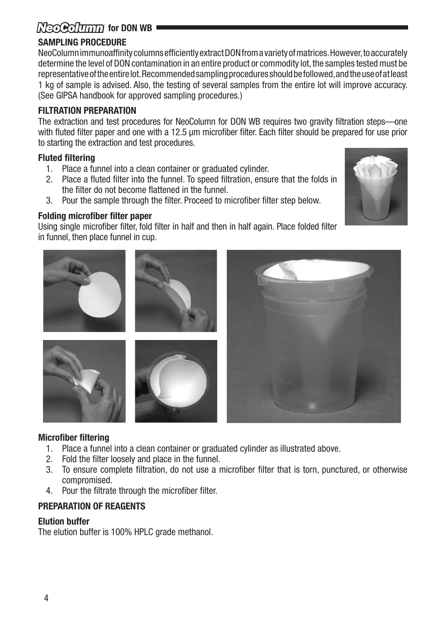# **KeoColumn** for DON WB

# **SAMPLING PROCEDURE**

NeoColumn immunoaffinity columns efficiently extract DON from a variety of matrices. However, to accurately determine the level of DON contamination in an entire product or commodity lot, the samples tested must be representative of the entire lot. Recommended sampling procedures should be followed, and the use of at least 1 kg of sample is advised. Also, the testing of several samples from the entire lot will improve accuracy. (See GIPSA handbook for approved sampling procedures.)

### **FILTRATION PREPARATION**

The extraction and test procedures for NeoColumn for DON WB requires two gravity filtration steps—one with fluted filter paper and one with a 12.5 μm microfiber filter. Each filter should be prepared for use prior to starting the extraction and test procedures.

# **Fluted filtering**

- 1. Place a funnel into a clean container or graduated cylinder.
- 2. Place a fluted filter into the funnel. To speed filtration, ensure that the folds in the filter do not become flattened in the funnel.
- 3. Pour the sample through the filter. Proceed to microfiber filter step below.

# **Folding microfiber filter paper**

Using single microfiber filter, fold filter in half and then in half again. Place folded filter in funnel, then place funnel in cup.



# **Microfiber filtering**

- 1. Place a funnel into a clean container or graduated cylinder as illustrated above.<br>2. Fold the filter loosely and place in the funnel
- 2. Fold the filter loosely and place in the funnel.
- 3. To ensure complete filtration, do not use a microfiber filter that is torn, punctured, or otherwise compromised.
- 4. Pour the filtrate through the microfiber filter.

# **PREPARATION OF REAGENTS**

#### **Elution buffer**

The elution buffer is 100% HPLC grade methanol.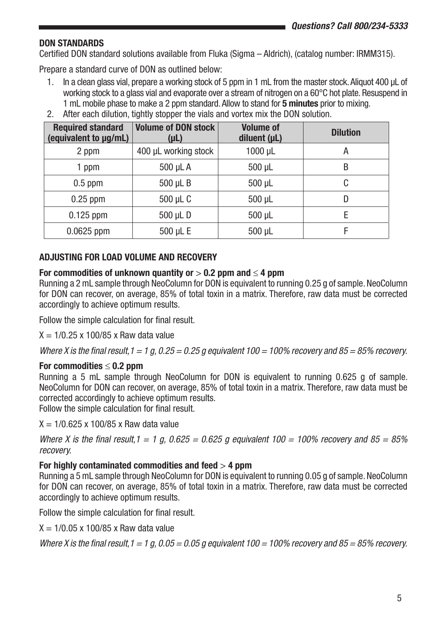# **DON STANDARDS**

Certified DON standard solutions available from Fluka (Sigma – Aldrich), (catalog number: IRMM315).

Prepare a standard curve of DON as outlined below:

- 1. In a clean glass vial, prepare a working stock of 5 ppm in 1 mL from the master stock. Aliquot 400 μL of working stock to a glass vial and evaporate over a stream of nitrogen on a 60°C hot plate. Resuspend in 1 mL mobile phase to make a 2 ppm standard. Allow to stand for **5 minutes** prior to mixing.
- 2. After each dilution, tightly stopper the vials and vortex mix the DON solution.

| <b>Required standard</b><br>(equivalent to µq/mL) | Volume of DON stock<br>$(\mu L)$ | <b>Volume of</b><br>diluent $(\mu L)$ | <b>Dilution</b> |
|---------------------------------------------------|----------------------------------|---------------------------------------|-----------------|
| 2 ppm                                             | 400 µL working stock             | $1000$ $\mu$ L                        | Α               |
| 1 ppm                                             | 500 µL A                         | $500 \mu L$                           | B               |
| $0.5$ ppm                                         | 500 µL B                         | 500 µL                                | C               |
| $0.25$ ppm                                        | 500 µL C                         | $500 \mu L$                           | D               |
| $0.125$ ppm                                       | 500 µL D                         | $500 \mu L$                           | F               |
| $0.0625$ ppm                                      | 500 µL E                         | $500 \mu L$                           | F               |

## **ADJUSTING FOR LOAD VOLUME AND RECOVERY**

### **For commodities of unknown quantity or** > **0.2 ppm and** ≤ **4 ppm**

Running a 2 mL sample through NeoColumn for DON is equivalent to running 0.25 g of sample. NeoColumn for DON can recover, on average, 85% of total toxin in a matrix. Therefore, raw data must be corrected accordingly to achieve optimum results.

Follow the simple calculation for final result.

 $X = 1/0.25 \times 100/85 \times$  Raw data value

*Where X is the final result,1 = 1 g, 0.25 = 0.25 g equivalent 100 = 100% recovery and 85 = 85% recovery.* 

#### **For commodities** ≤ **0.2 ppm**

Running a 5 mL sample through NeoColumn for DON is equivalent to running 0.625 g of sample. NeoColumn for DON can recover, on average, 85% of total toxin in a matrix. Therefore, raw data must be corrected accordingly to achieve optimum results.

Follow the simple calculation for final result.

 $X = 1/0.625 \times 100/85 \times$  Raw data value

*Where X is the final result,1 = 1 g, 0.625 = 0.625 g equivalent 100 = 100% recovery and 85 = 85% recovery.*

#### **For highly contaminated commodities and feed** > **4 ppm**

Running a 5 mL sample through NeoColumn for DON is equivalent to running 0.05 g of sample. NeoColumn for DON can recover, on average, 85% of total toxin in a matrix. Therefore, raw data must be corrected accordingly to achieve optimum results.

Follow the simple calculation for final result.

 $X = 1/0.05 \times 100/85 \times$  Raw data value

*Where X is the final result, 1 = 1 g, 0.05 = 0.05 g equivalent 100 = 100% recovery and 85 = 85% recovery.*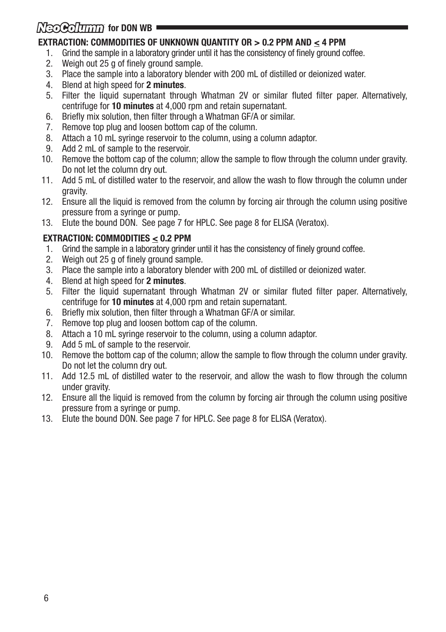# *Nৰিব দিলামা* **for DON WB** ।

# **EXTRACTION: COMMODITIES OF UNKNOWN QUANTITY OR > 0.2 PPM AND < 4 PPM**

- 1. Grind the sample in a laboratory grinder until it has the consistency of finely ground coffee.<br>2. Weigh out 25 g of finely ground sample.
- 2. Weigh out 25 g of finely ground sample.<br>3. Place the sample into a laboratory blend
- 3. Place the sample into a laboratory blender with 200 mL of distilled or deionized water.
- 4. Blend at high speed for **2 minutes**.
- 5. Filter the liquid supernatant through Whatman 2V or similar fluted filter paper. Alternatively, centrifuge for **10 minutes** at 4,000 rpm and retain supernatant.
- 6. Briefly mix solution, then filter through a Whatman GF/A or similar.
- 7. Remove top plug and loosen bottom cap of the column.<br>8. Attach a 10 mL syringe reservoir to the column, using a
- Attach a 10 mL syringe reservoir to the column, using a column adaptor.
- 9. Add 2 mL of sample to the reservoir.
- 10. Remove the bottom cap of the column; allow the sample to flow through the column under gravity. Do not let the column dry out.
- 11. Add 5 mL of distilled water to the reservoir, and allow the wash to flow through the column under gravity.
- 12. Ensure all the liquid is removed from the column by forcing air through the column using positive pressure from a syringe or pump.
- 13. Elute the bound DON. See page 7 for HPLC. See page 8 for ELISA (Veratox).

# **EXTRACTION: COMMODITIES < 0.2 PPM**

- 1. Grind the sample in a laboratory grinder until it has the consistency of finely ground coffee.
- 2. Weigh out 25 g of finely ground sample.
- 3. Place the sample into a laboratory blender with 200 mL of distilled or deionized water.
- 4. Blend at high speed for **2 minutes**.
- 5. Filter the liquid supernatant through Whatman 2V or similar fluted filter paper. Alternatively, centrifuge for **10 minutes** at 4,000 rpm and retain supernatant.
- 6. Briefly mix solution, then filter through a Whatman GF/A or similar.
- 7. Remove top plug and loosen bottom cap of the column.
- 8. Attach a 10 mL syringe reservoir to the column, using a column adaptor.
- 9. Add 5 mL of sample to the reservoir.
- 10. Remove the bottom cap of the column; allow the sample to flow through the column under gravity. Do not let the column dry out.
- 11. Add 12.5 mL of distilled water to the reservoir, and allow the wash to flow through the column under gravity.
- 12. Ensure all the liquid is removed from the column by forcing air through the column using positive pressure from a syringe or pump.
- 13. Elute the bound DON. See page 7 for HPLC. See page 8 for ELISA (Veratox).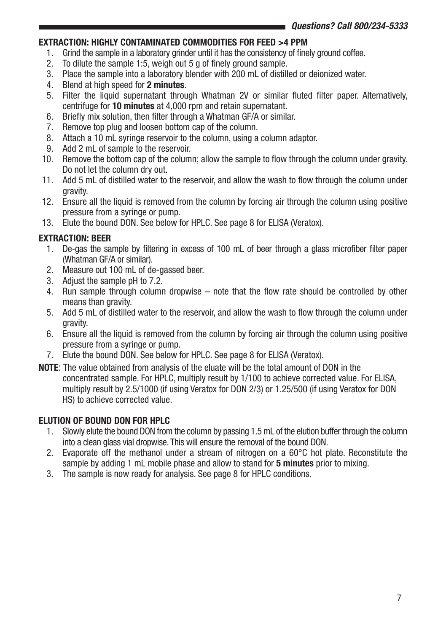# **EXTRACTION: HIGHLY CONTAMINATED COMMODITIES FOR FEED >4 PPM**

- 1. Grind the sample in a laboratory grinder until it has the consistency of finely ground coffee.<br>2. To dilute the sample 1:5, weigh out 5 g of finely ground sample.
- 2. To dilute the sample 1:5, weigh out 5 g of finely ground sample.<br>3. Place the sample into a laboratory blender with 200 ml of distillent
- 3. Place the sample into a laboratory blender with 200 mL of distilled or deionized water.
- 4. Blend at high speed for **2 minutes**.
- 5. Filter the liquid supernatant through Whatman 2V or similar fluted filter paper. Alternatively, centrifuge for **10 minutes** at 4,000 rpm and retain supernatant.
- 6. Briefly mix solution, then filter through a Whatman GF/A or similar.
- 7. Remove top plug and loosen bottom cap of the column.<br>8. Attach a 10 mL syringe reservoir to the column, using a
- 8. Attach a 10 mL syringe reservoir to the column, using a column adaptor.<br>9. Add 2 mL of sample to the reservoir.
- Add 2 mL of sample to the reservoir.
- 10. Remove the bottom cap of the column; allow the sample to flow through the column under gravity. Do not let the column dry out.
- 11. Add 5 mL of distilled water to the reservoir, and allow the wash to flow through the column under gravity.
- 12. Ensure all the liquid is removed from the column by forcing air through the column using positive pressure from a syringe or pump.
- 13. Elute the bound DON. See below for HPLC. See page 8 for ELISA (Veratox).

# **EXTRACTION: BEER**

- 1. De-gas the sample by filtering in excess of 100 mL of beer through a glass microfiber filter paper (Whatman GF/A or similar).
- 2. Measure out 100 mL of de-gassed beer.
- 3. Adjust the sample pH to 7.2.
- 4. Run sample through column dropwise note that the flow rate should be controlled by other means than gravity.
- 5. Add 5 mL of distilled water to the reservoir, and allow the wash to flow through the column under gravity.
- 6. Ensure all the liquid is removed from the column by forcing air through the column using positive pressure from a syringe or pump.
- 7. Elute the bound DON. See below for HPLC. See page 8 for ELISA (Veratox).
- **NOTE**: The value obtained from analysis of the eluate will be the total amount of DON in the concentrated sample. For HPLC, multiply result by 1/100 to achieve corrected value. For ELISA, multiply result by 2.5/1000 (if using Veratox for DON 2/3) or 1.25/500 (if using Veratox for DON HS) to achieve corrected value.

# **ELUTION OF BOUND DON FOR HPLC**

- 1. Slowly elute the bound DON from the column by passing 1.5 mL of the elution buffer through the column into a clean glass vial dropwise. This will ensure the removal of the bound DON.
- 2. Evaporate off the methanol under a stream of nitrogen on a  $60^{\circ}$ C hot plate. Reconstitute the sample by adding 1 mL mobile phase and allow to stand for **5 minutes** prior to mixing.
- 3. The sample is now ready for analysis. See page 8 for HPLC conditions.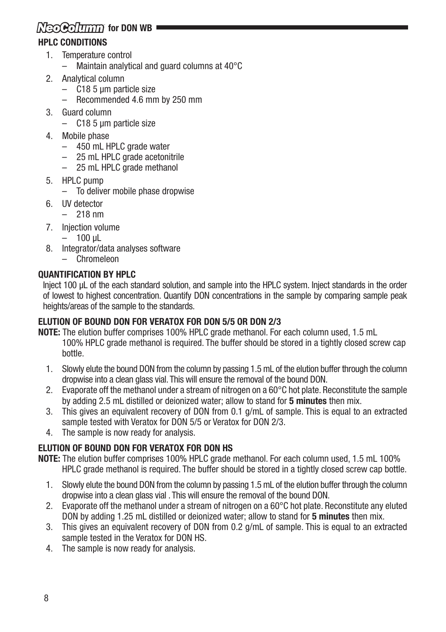# **KeoColumn** for DON WB **HPLC CONDITIONS**

- 1. Temperature control
	- Maintain analytical and guard columns at 40°C
- 2. Analytical column
	- C18 5 µm particle size
	- Recommended 4.6 mm by 250 mm
- 3. Guard column
	- C18 5 µm particle size
- 4. Mobile phase
	- 450 mL HPLC grade water
	- 25 mL HPLC grade acetonitrile
	- 25 mL HPLC grade methanol
- 5. HPLC pump
	- To deliver mobile phase dropwise
- 6. UV detector
	- 218 nm
- 7. Injection volume
	- $-100$  uL
- 8. Integrator/data analyses software
	- Chromeleon

# **QUANTIFICATION BY HPLC**

Inject 100 µL of the each standard solution, and sample into the HPLC system. Inject standards in the order of lowest to highest concentration. Quantify DON concentrations in the sample by comparing sample peak heights/areas of the sample to the standards.

# **ELUTION OF BOUND DON FOR VERATOX FOR DON 5/5 OR DON 2/3**

- **NOTE:** The elution buffer comprises 100% HPLC grade methanol. For each column used, 1.5 mL 100% HPLC grade methanol is required. The buffer should be stored in a tightly closed screw cap bottle.
	- 1. Slowly elute the bound DON from the column by passing 1.5 mL of the elution buffer through the column dropwise into a clean glass vial. This will ensure the removal of the bound DON.
	- 2. Evaporate off the methanol under a stream of nitrogen on a  $60^{\circ}$ C hot plate. Reconstitute the sample by adding 2.5 mL distilled or deionized water; allow to stand for **5 minutes** then mix.
	- 3. This gives an equivalent recovery of DON from 0.1 g/mL of sample. This is equal to an extracted sample tested with Veratox for DON 5/5 or Veratox for DON 2/3.
	- 4. The sample is now ready for analysis.

# **ELUTION OF BOUND DON FOR VERATOX FOR DON HS**

**NOTE:** The elution buffer comprises 100% HPLC grade methanol. For each column used, 1.5 mL 100% HPLC grade methanol is required. The buffer should be stored in a tightly closed screw cap bottle.

- 1. Slowly elute the bound DON from the column by passing 1.5 mL of the elution buffer through the column dropwise into a clean glass vial . This will ensure the removal of the bound DON.
- 2. Evaporate off the methanol under a stream of nitrogen on a 60°C hot plate. Reconstitute any eluted DON by adding 1.25 mL distilled or deionized water; allow to stand for **5 minutes** then mix.
- 3. This gives an equivalent recovery of DON from 0.2 g/mL of sample. This is equal to an extracted sample tested in the Veratox for DON HS.
- 4. The sample is now ready for analysis.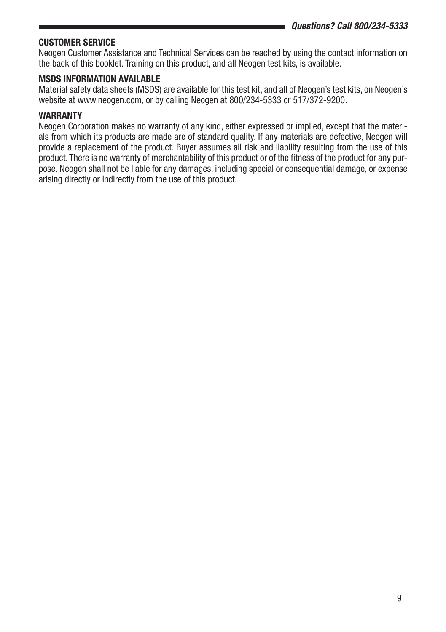# **CUSTOMER SERVICE**

Neogen Customer Assistance and Technical Services can be reached by using the contact information on the back of this booklet. Training on this product, and all Neogen test kits, is available.

### **MSDS INFORMATION AVAILABLE**

Material safety data sheets (MSDS) are available for this test kit, and all of Neogen's test kits, on Neogen's website at www.neogen.com, or by calling Neogen at 800/234-5333 or 517/372-9200.

#### **WARRANTY**

Neogen Corporation makes no warranty of any kind, either expressed or implied, except that the materials from which its products are made are of standard quality. If any materials are defective, Neogen will provide a replacement of the product. Buyer assumes all risk and liability resulting from the use of this product. There is no warranty of merchantability of this product or of the fitness of the product for any purpose. Neogen shall not be liable for any damages, including special or consequential damage, or expense arising directly or indirectly from the use of this product.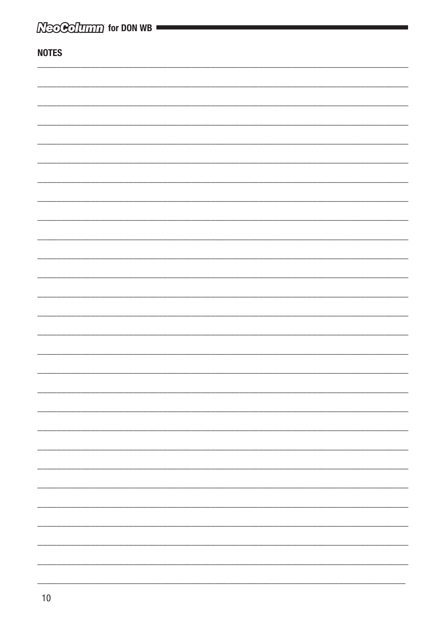| $\mathbb N$ eo Co $\overline{\text{Irrm}}$ for DON WB |  |
|-------------------------------------------------------|--|
| <b>NOTES</b>                                          |  |
|                                                       |  |
|                                                       |  |
|                                                       |  |
|                                                       |  |
|                                                       |  |
|                                                       |  |
|                                                       |  |
|                                                       |  |
|                                                       |  |
|                                                       |  |
|                                                       |  |
|                                                       |  |
|                                                       |  |
|                                                       |  |
|                                                       |  |
|                                                       |  |
|                                                       |  |
|                                                       |  |
|                                                       |  |
|                                                       |  |
|                                                       |  |
|                                                       |  |
|                                                       |  |
|                                                       |  |
|                                                       |  |
|                                                       |  |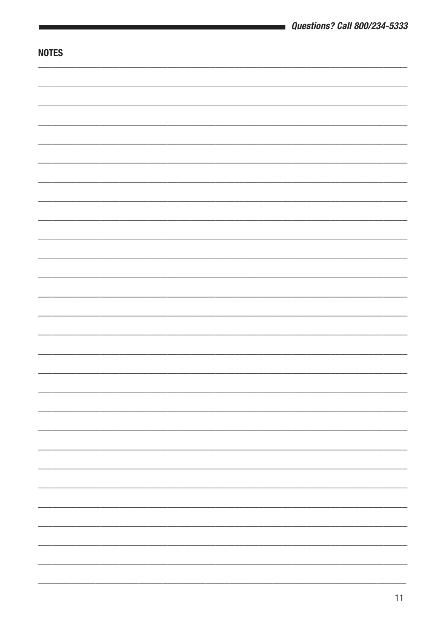|              | <b>Questions? Call 800/234-5333</b> |
|--------------|-------------------------------------|
|              |                                     |
| <b>NOTES</b> |                                     |
|              |                                     |
|              |                                     |
|              |                                     |
|              |                                     |
|              |                                     |
|              |                                     |
|              |                                     |
|              |                                     |
|              |                                     |
|              |                                     |
|              |                                     |
|              |                                     |
|              |                                     |
|              |                                     |
|              |                                     |
|              |                                     |
|              |                                     |
|              |                                     |
|              |                                     |
|              |                                     |
|              |                                     |
|              |                                     |
|              |                                     |
|              |                                     |
|              |                                     |
|              |                                     |
|              |                                     |
|              |                                     |
|              |                                     |
|              |                                     |
|              |                                     |
|              |                                     |
|              |                                     |
|              |                                     |
|              |                                     |
|              |                                     |
|              |                                     |
|              |                                     |
|              |                                     |
|              |                                     |
|              |                                     |
|              |                                     |
|              |                                     |
|              |                                     |
|              |                                     |
|              |                                     |
|              |                                     |
|              |                                     |
|              |                                     |
|              |                                     |